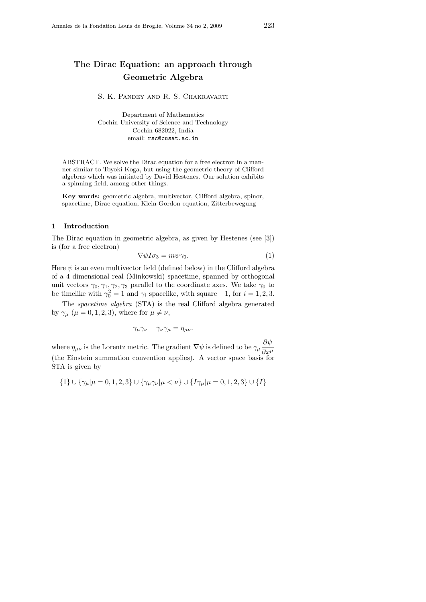# The Dirac Equation: an approach through Geometric Algebra

S. K. Pandey and R. S. Chakravarti

Department of Mathematics Cochin University of Science and Technology Cochin 682022, India email: rsc@cusat.ac.in

ABSTRACT. We solve the Dirac equation for a free electron in a manner similar to Toyoki Koga, but using the geometric theory of Clifford algebras which was initiated by David Hestenes. Our solution exhibits a spinning field, among other things.

Key words: geometric algebra, multivector, Clifford algebra, spinor, spacetime, Dirac equation, Klein-Gordon equation, Zitterbewegung

### 1 Introduction

The Dirac equation in geometric algebra, as given by Hestenes (see [3]) is (for a free electron)

$$
\nabla \psi I \sigma_3 = m \psi \gamma_0. \tag{1}
$$

Here  $\psi$  is an even multivector field (defined below) in the Clifford algebra of a 4 dimensional real (Minkowski) spacetime, spanned by orthogonal unit vectors  $\gamma_0, \gamma_1, \gamma_2, \gamma_3$  parallel to the coordinate axes. We take  $\gamma_0$  to be timelike with  $\gamma_0^2 = 1$  and  $\gamma_i$  spacelike, with square  $-1$ , for  $i = 1, 2, 3$ .

The spacetime algebra (STA) is the real Clifford algebra generated by  $\gamma_{\mu}$  ( $\mu = 0, 1, 2, 3$ ), where for  $\mu \neq \nu$ ,

$$
\gamma_\mu\gamma_\nu+\gamma_\nu\gamma_\mu=\eta_{\mu\nu}.
$$

where  $\eta_{\mu\nu}$  is the Lorentz metric. The gradient  $\nabla \psi$  is defined to be  $\gamma_{\mu} \frac{\partial \psi}{\partial \psi}$  $\partial x^{\mu}$ (the Einstein summation convention applies). A vector space basis for STA is given by

$$
\{1\} \cup \{\gamma_{\mu} | \mu = 0, 1, 2, 3\} \cup \{\gamma_{\mu} \gamma_{\nu} | \mu < \nu\} \cup \{I\gamma_{\mu} | \mu = 0, 1, 2, 3\} \cup \{I\}
$$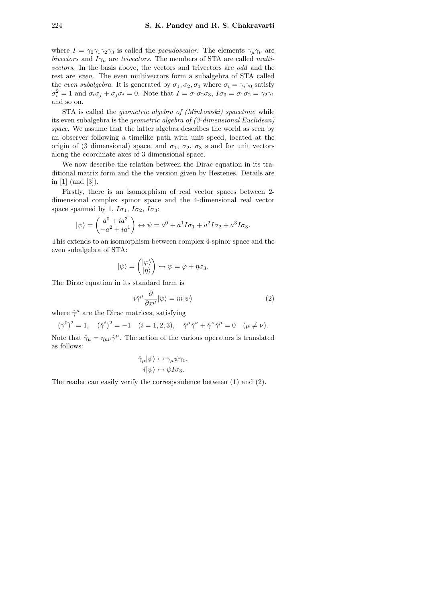where  $I = \gamma_0 \gamma_1 \gamma_2 \gamma_3$  is called the *pseudoscalar*. The elements  $\gamma_\mu \gamma_\nu$  are bivectors and  $I\gamma_{\mu}$  are trivectors. The members of STA are called *multi*vectors. In the basis above, the vectors and trivectors are odd and the rest are even. The even multivectors form a subalgebra of STA called the even subalgebra. It is generated by  $\sigma_1, \sigma_2, \sigma_3$  where  $\sigma_i = \gamma_i \gamma_0$  satisfy  $\sigma_i^2 = 1$  and  $\sigma_i \sigma_j + \sigma_j \sigma_i = 0$ . Note that  $I = \sigma_1 \sigma_2 \sigma_3$ ,  $I \sigma_3 = \sigma_1 \sigma_2 = \gamma_2 \gamma_1$ and so on.

STA is called the geometric algebra of (Minkowski) spacetime while its even subalgebra is the geometric algebra of (3-dimensional Euclidean) space. We assume that the latter algebra describes the world as seen by an observer following a timelike path with unit speed, located at the origin of (3 dimensional) space, and  $\sigma_1$ ,  $\sigma_2$ ,  $\sigma_3$  stand for unit vectors along the coordinate axes of 3 dimensional space.

We now describe the relation between the Dirac equation in its traditional matrix form and the the version given by Hestenes. Details are in [1] (and [3]).

Firstly, there is an isomorphism of real vector spaces between 2 dimensional complex spinor space and the 4-dimensional real vector space spanned by 1,  $I\sigma_1$ ,  $I\sigma_2$ ,  $I\sigma_3$ :

$$
|\psi\rangle = \begin{pmatrix} a^0 + ia^3 \\ -a^2 + ia^1 \end{pmatrix} \leftrightarrow \psi = a^0 + a^1 I \sigma_1 + a^2 I \sigma_2 + a^3 I \sigma_3.
$$

This extends to an isomorphism between complex 4-spinor space and the even subalgebra of STA:

$$
|\psi\rangle = \begin{pmatrix} |\varphi\rangle \\ |\eta\rangle \end{pmatrix} \leftrightarrow \psi = \varphi + \eta \sigma_3.
$$

The Dirac equation in its standard form is

$$
i\hat{\gamma}^{\mu}\frac{\partial}{\partial x^{\mu}}|\psi\rangle = m|\psi\rangle \tag{2}
$$

where  $\hat{\gamma}^{\mu}$  are the Dirac matrices, satisfying

$$
(\hat{\gamma}^0)^2 = 1
$$
,  $(\hat{\gamma}^i)^2 = -1$   $(i = 1, 2, 3)$ ,  $\hat{\gamma}^\mu \hat{\gamma}^\nu + \hat{\gamma}^\nu \hat{\gamma}^\mu = 0$   $(\mu \neq \nu)$ .

Note that  $\hat{\gamma}_{\mu} = \eta_{\mu\nu} \hat{\gamma}^{\mu}$ . The action of the various operators is translated as follows:

$$
\hat{\gamma}_{\mu}|\psi\rangle \leftrightarrow \gamma_{\mu}\psi\gamma_0, \n i|\psi\rangle \leftrightarrow \psi I\sigma_3.
$$

The reader can easily verify the correspondence between (1) and (2).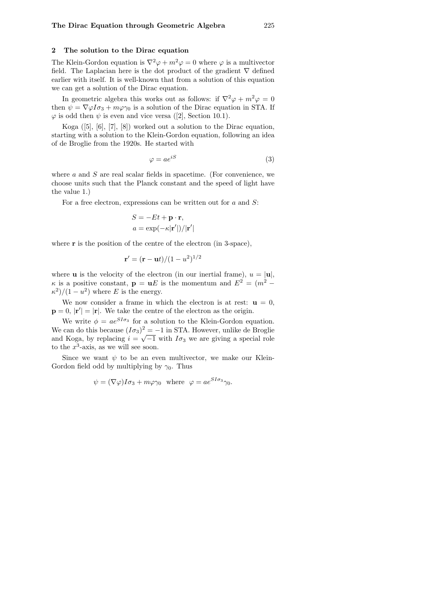## 2 The solution to the Dirac equation

The Klein-Gordon equation is  $\nabla^2 \varphi + m^2 \varphi = 0$  where  $\varphi$  is a multivector field. The Laplacian here is the dot product of the gradient  $\nabla$  defined earlier with itself. It is well-known that from a solution of this equation we can get a solution of the Dirac equation.

In geometric algebra this works out as follows: if  $\nabla^2 \varphi + m^2 \varphi = 0$ then  $\psi = \nabla \varphi I \sigma_3 + m \varphi \gamma_0$  is a solution of the Dirac equation in STA. If  $\varphi$  is odd then  $\psi$  is even and vice versa ([2], Section 10.1).

Koga  $([5], [6], [7], [8])$  worked out a solution to the Dirac equation, starting with a solution to the Klein-Gordon equation, following an idea of de Broglie from the 1920s. He started with

$$
\varphi = ae^{iS} \tag{3}
$$

where  $a$  and  $S$  are real scalar fields in spacetime. (For convenience, we choose units such that the Planck constant and the speed of light have the value 1.)

For a free electron, expressions can be written out for  $a$  and  $S$ :

$$
S = -Et + \mathbf{p} \cdot \mathbf{r},
$$
  

$$
a = \exp(-\kappa |\mathbf{r}'|)/|\mathbf{r}'|
$$

where  $\bf{r}$  is the position of the centre of the electron (in 3-space),

$$
\mathbf{r}' = (\mathbf{r} - \mathbf{u}t)/(1 - u^2)^{1/2}
$$

where **u** is the velocity of the electron (in our inertial frame),  $u = |u|$ ,  $\kappa$  is a positive constant,  $\mathbf{p} = \mathbf{u}E$  is the momentum and  $E^2 = (m^2 \kappa^2)/(1-u^2)$  where E is the energy.

We now consider a frame in which the electron is at rest:  $\mathbf{u} = 0$ ,  $\mathbf{p} = 0$ ,  $|\mathbf{r}'| = |\mathbf{r}|$ . We take the centre of the electron as the origin.

We write  $\phi = ae^{SI\sigma_3}$  for a solution to the Klein-Gordon equation. We can do this because  $(I\sigma_3)^2 = -1$  in STA. However, unlike de Broglie and Koga, by replacing  $i = \sqrt{-1}$  with  $I\sigma_3$  we are giving a special role to the  $x^3$ -axis, as we will see soon.

Since we want  $\psi$  to be an even multivector, we make our Klein-Gordon field odd by multiplying by  $\gamma_0$ . Thus

$$
\psi = (\nabla \varphi) I \sigma_3 + m \varphi \gamma_0 \text{ where } \varphi = a e^{SI \sigma_3} \gamma_0.
$$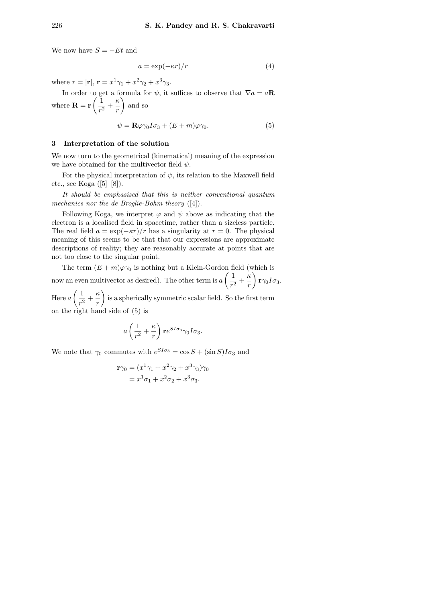We now have  $S = -Et$  and

$$
a = \exp(-\kappa r)/r \tag{4}
$$

where  $r = |\mathbf{r}|, \mathbf{r} = x^1 \gamma_1 + x^2 \gamma_2 + x^3 \gamma_3.$ 

In order to get a formula for  $\psi$ , it suffices to observe that  $\nabla a = a\mathbf{R}$ where  $\mathbf{R} = \mathbf{r} \left( \frac{1}{\epsilon} \right)$  $\frac{1}{r^2} + \frac{\kappa}{r}$ r and so

$$
\psi = \mathbf{R}\varphi\gamma_0 I \sigma_3 + (E + m)\varphi\gamma_0. \tag{5}
$$

### 3 Interpretation of the solution

We now turn to the geometrical (kinematical) meaning of the expression we have obtained for the multivector field  $\psi$ .

For the physical interpretation of  $\psi$ , its relation to the Maxwell field etc., see Koga  $([5]–[8])$ .

It should be emphasised that this is neither conventional quantum mechanics nor the de Broglie-Bohm theory ([4]).

Following Koga, we interpret  $\varphi$  and  $\psi$  above as indicating that the electron is a localised field in spacetime, rather than a sizeless particle. The real field  $a = \exp(-\kappa r)/r$  has a singularity at  $r = 0$ . The physical meaning of this seems to be that that our expressions are approximate descriptions of reality; they are reasonably accurate at points that are not too close to the singular point.

The term  $(E + m)\varphi\gamma_0$  is nothing but a Klein-Gordon field (which is now an even multivector as desired). The other term is  $a\left(\frac{1}{a}\right)$  $\frac{1}{r^2} + \frac{\kappa}{r}$ r  $\Big)$  r $\gamma_0I\sigma_3.$ 

Here  $a\left(\frac{1}{a}\right)$  $\frac{1}{r^2} + \frac{\kappa}{r}$ r is a spherically symmetric scalar field. So the first term on the right hand side of (5) is

$$
a\left(\frac{1}{r^2} + \frac{\kappa}{r}\right) \mathbf{r} e^{SI\sigma_3} \gamma_0 I\sigma_3.
$$

We note that  $\gamma_0$  commutes with  $e^{SI\sigma_3} = \cos S + (\sin S)I\sigma_3$  and

$$
\mathbf{r}\gamma_0 = (x^1\gamma_1 + x^2\gamma_2 + x^3\gamma_3)\gamma_0
$$

$$
= x^1\sigma_1 + x^2\sigma_2 + x^3\sigma_3.
$$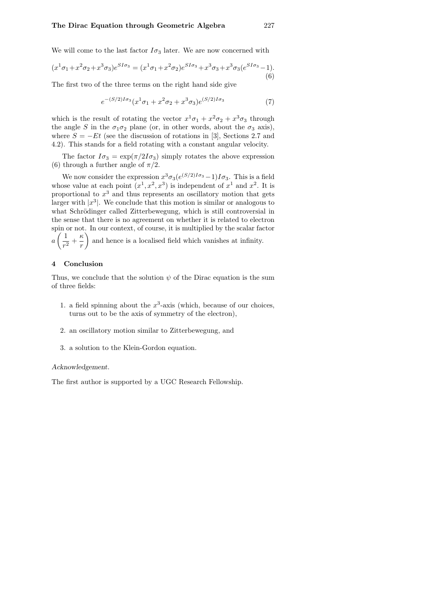We will come to the last factor  $I\sigma_3$  later. We are now concerned with

$$
(x^{1}\sigma_{1} + x^{2}\sigma_{2} + x^{3}\sigma_{3})e^{SI\sigma_{3}} = (x^{1}\sigma_{1} + x^{2}\sigma_{2})e^{SI\sigma_{3}} + x^{3}\sigma_{3} + x^{3}\sigma_{3}(e^{SI\sigma_{3}} - 1).
$$
\n(6)

The first two of the three terms on the right hand side give

$$
e^{-(S/2)I\sigma_3}(x^1\sigma_1 + x^2\sigma_2 + x^3\sigma_3)e^{(S/2)I\sigma_3}
$$
\n(7)

which is the result of rotating the vector  $x^1\sigma_1 + x^2\sigma_2 + x^3\sigma_3$  through the angle S in the  $\sigma_1 \sigma_2$  plane (or, in other words, about the  $\sigma_3$  axis), where  $S = -Et$  (see the discussion of rotations in [3], Sections 2.7 and 4.2). This stands for a field rotating with a constant angular velocity.

The factor  $I\sigma_3 = \exp(\pi/2I\sigma_3)$  simply rotates the above expression (6) through a further angle of  $\pi/2$ .

We now consider the expression  $x^3\sigma_3(e^{(S/2)I\sigma_3}-1)I\sigma_3$ . This is a field whose value at each point  $(x^1, x^2, x^3)$  is independent of  $x^1$  and  $x^2$ . It is proportional to  $x^3$  and thus represents an oscillatory motion that gets larger with  $|x^3|$ . We conclude that this motion is similar or analogous to what Schrödinger called Zitterbewegung, which is still controversial in the sense that there is no agreement on whether it is related to electron spin or not. In our context, of course, it is multiplied by the scalar factor  $a\left(\frac{1}{2}\right)$  $\frac{1}{r^2} + \frac{\kappa}{r}$ r  $\setminus$ and hence is a localised field which vanishes at infinity.

### 4 Conclusion

Thus, we conclude that the solution  $\psi$  of the Dirac equation is the sum of three fields:

- 1. a field spinning about the  $x^3$ -axis (which, because of our choices, turns out to be the axis of symmetry of the electron),
- 2. an oscillatory motion similar to Zitterbewegung, and
- 3. a solution to the Klein-Gordon equation.

#### Acknowledgement.

The first author is supported by a UGC Research Fellowship.